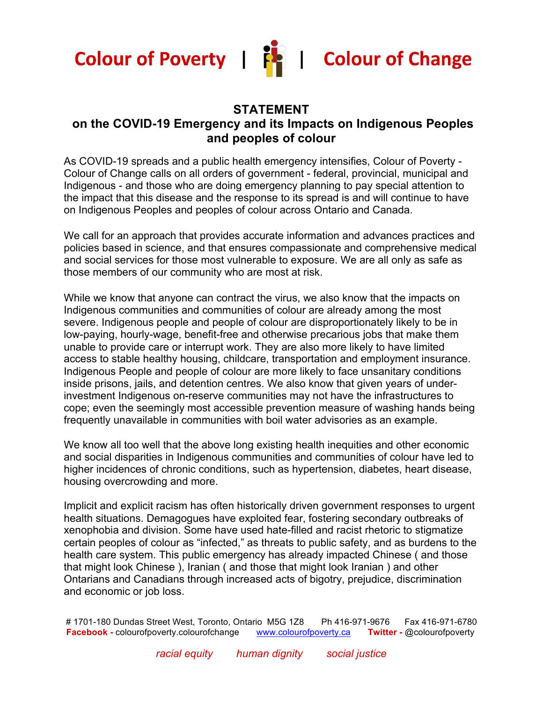



 $\mathbf{I}$ 



### **STATEMENT**

### **on the COVID-19 Emergency and its Impacts on Indigenous Peoples and peoples of colour**

As COVID-19 spreads and a public health emergency intensifies, Colour of Poverty - Colour of Change calls on all orders of government - federal, provincial, municipal and Indigenous - and those who are doing emergency planning to pay special attention to the impact that this disease and the response to its spread is and will continue to have on Indigenous Peoples and peoples of colour across Ontario and Canada.

We call for an approach that provides accurate information and advances practices and policies based in science, and that ensures compassionate and comprehensive medical and social services for those most vulnerable to exposure. We are all only as safe as those members of our community who are most at risk.

While we know that anyone can contract the virus, we also know that the impacts on Indigenous communities and communities of colour are already among the most severe. Indigenous people and people of colour are disproportionately likely to be in low-paying, hourly-wage, benefit-free and otherwise precarious jobs that make them unable to provide care or interrupt work. They are also more likely to have limited access to stable healthy housing, childcare, transportation and employment insurance. Indigenous People and people of colour are more likely to face unsanitary conditions inside prisons, jails, and detention centres. We also know that given years of underinvestment Indigenous on-reserve communities may not have the infrastructures to cope; even the seemingly most accessible prevention measure of washing hands being frequently unavailable in communities with boil water advisories as an example.

We know all too well that the above long existing health inequities and other economic and social disparities in Indigenous communities and communities of colour have led to higher incidences of chronic conditions, such as hypertension, diabetes, heart disease, housing overcrowding and more.

Implicit and explicit racism has often historically driven government responses to urgent health situations. Demagogues have exploited fear, fostering secondary outbreaks of xenophobia and division. Some have used hate-filled and racist rhetoric to stigmatize certain peoples of colour as "infected," as threats to public safety, and as burdens to the health care system. This public emergency has already impacted Chinese ( and those that might look Chinese ), Iranian ( and those that might look Iranian ) and other Ontarians and Canadians through increased acts of bigotry, prejudice, discrimination and economic or job loss.

# 1701-180 Dundas Street West, Toronto, Ontario M5G 1Z8 Ph 416-971-9676 Fax 416-971-6780 **Facebook -** colourofpoverty.colourofchange www.colourofpoverty.ca **Twitter -** @colourofpoverty